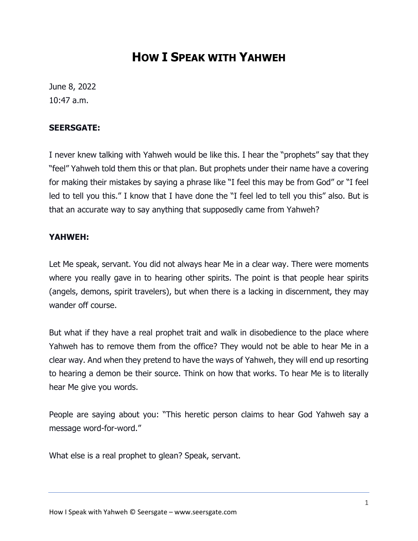# **HOW I SPEAK WITH YAHWEH**

June 8, 2022 10:47 a.m.

# **SEERSGATE:**

I never knew talking with Yahweh would be like this. I hear the "prophets" say that they "feel" Yahweh told them this or that plan. But prophets under their name have a covering for making their mistakes by saying a phrase like "I feel this may be from God" or "I feel led to tell you this." I know that I have done the "I feel led to tell you this" also. But is that an accurate way to say anything that supposedly came from Yahweh?

## **YAHWEH:**

Let Me speak, servant. You did not always hear Me in a clear way. There were moments where you really gave in to hearing other spirits. The point is that people hear spirits (angels, demons, spirit travelers), but when there is a lacking in discernment, they may wander off course.

But what if they have a real prophet trait and walk in disobedience to the place where Yahweh has to remove them from the office? They would not be able to hear Me in a clear way. And when they pretend to have the ways of Yahweh, they will end up resorting to hearing a demon be their source. Think on how that works. To hear Me is to literally hear Me give you words.

People are saying about you: "This heretic person claims to hear God Yahweh say a message word-for-word."

What else is a real prophet to glean? Speak, servant.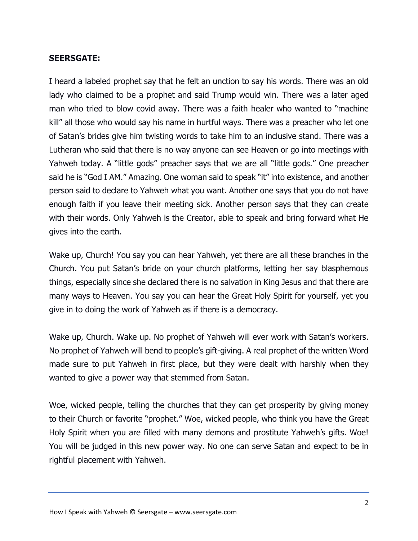#### **SEERSGATE:**

I heard a labeled prophet say that he felt an unction to say his words. There was an old lady who claimed to be a prophet and said Trump would win. There was a later aged man who tried to blow covid away. There was a faith healer who wanted to "machine kill" all those who would say his name in hurtful ways. There was a preacher who let one of Satan's brides give him twisting words to take him to an inclusive stand. There was a Lutheran who said that there is no way anyone can see Heaven or go into meetings with Yahweh today. A "little gods" preacher says that we are all "little gods." One preacher said he is "God I AM." Amazing. One woman said to speak "it" into existence, and another person said to declare to Yahweh what you want. Another one says that you do not have enough faith if you leave their meeting sick. Another person says that they can create with their words. Only Yahweh is the Creator, able to speak and bring forward what He gives into the earth.

Wake up, Church! You say you can hear Yahweh, yet there are all these branches in the Church. You put Satan's bride on your church platforms, letting her say blasphemous things, especially since she declared there is no salvation in King Jesus and that there are many ways to Heaven. You say you can hear the Great Holy Spirit for yourself, yet you give in to doing the work of Yahweh as if there is a democracy.

Wake up, Church. Wake up. No prophet of Yahweh will ever work with Satan's workers. No prophet of Yahweh will bend to people's gift-giving. A real prophet of the written Word made sure to put Yahweh in first place, but they were dealt with harshly when they wanted to give a power way that stemmed from Satan.

Woe, wicked people, telling the churches that they can get prosperity by giving money to their Church or favorite "prophet." Woe, wicked people, who think you have the Great Holy Spirit when you are filled with many demons and prostitute Yahweh's gifts. Woe! You will be judged in this new power way. No one can serve Satan and expect to be in rightful placement with Yahweh.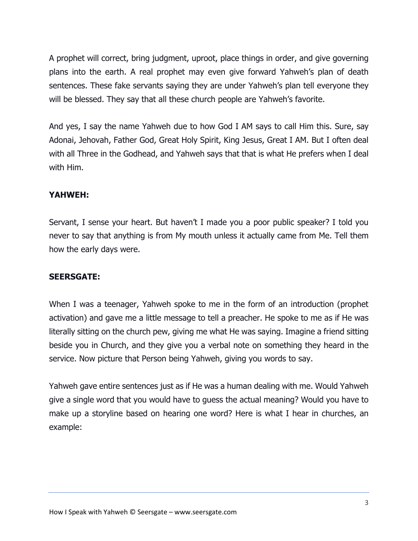A prophet will correct, bring judgment, uproot, place things in order, and give governing plans into the earth. A real prophet may even give forward Yahweh's plan of death sentences. These fake servants saying they are under Yahweh's plan tell everyone they will be blessed. They say that all these church people are Yahweh's favorite.

And yes, I say the name Yahweh due to how God I AM says to call Him this. Sure, say Adonai, Jehovah, Father God, Great Holy Spirit, King Jesus, Great I AM. But I often deal with all Three in the Godhead, and Yahweh says that that is what He prefers when I deal with Him.

# **YAHWEH:**

Servant, I sense your heart. But haven't I made you a poor public speaker? I told you never to say that anything is from My mouth unless it actually came from Me. Tell them how the early days were.

## **SEERSGATE:**

When I was a teenager, Yahweh spoke to me in the form of an introduction (prophet activation) and gave me a little message to tell a preacher. He spoke to me as if He was literally sitting on the church pew, giving me what He was saying. Imagine a friend sitting beside you in Church, and they give you a verbal note on something they heard in the service. Now picture that Person being Yahweh, giving you words to say.

Yahweh gave entire sentences just as if He was a human dealing with me. Would Yahweh give a single word that you would have to guess the actual meaning? Would you have to make up a storyline based on hearing one word? Here is what I hear in churches, an example: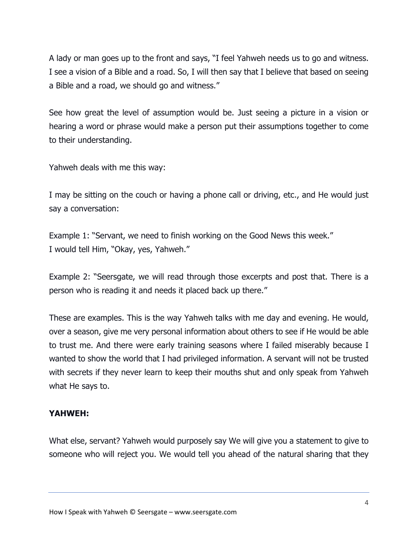A lady or man goes up to the front and says, "I feel Yahweh needs us to go and witness. I see a vision of a Bible and a road. So, I will then say that I believe that based on seeing a Bible and a road, we should go and witness."

See how great the level of assumption would be. Just seeing a picture in a vision or hearing a word or phrase would make a person put their assumptions together to come to their understanding.

Yahweh deals with me this way:

I may be sitting on the couch or having a phone call or driving, etc., and He would just say a conversation:

Example 1: "Servant, we need to finish working on the Good News this week." I would tell Him, "Okay, yes, Yahweh."

Example 2: "Seersgate, we will read through those excerpts and post that. There is a person who is reading it and needs it placed back up there."

These are examples. This is the way Yahweh talks with me day and evening. He would, over a season, give me very personal information about others to see if He would be able to trust me. And there were early training seasons where I failed miserably because I wanted to show the world that I had privileged information. A servant will not be trusted with secrets if they never learn to keep their mouths shut and only speak from Yahweh what He says to.

## **YAHWEH:**

What else, servant? Yahweh would purposely say We will give you a statement to give to someone who will reject you. We would tell you ahead of the natural sharing that they